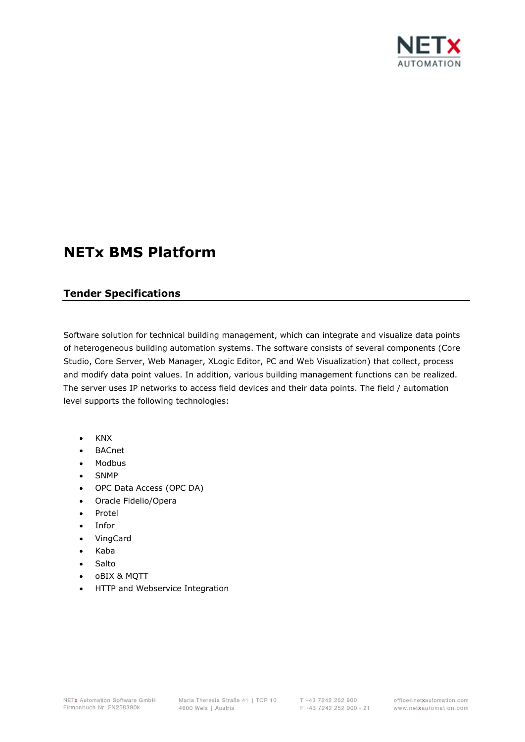

# **NETx BMS Platform**

# **Tender Specifications**

Software solution for technical building management, which can integrate and visualize data points of heterogeneous building automation systems. The software consists of several components (Core Studio, Core Server, Web Manager, XLogic Editor, PC and Web Visualization) that collect, process and modify data point values. In addition, various building management functions can be realized. The server uses IP networks to access field devices and their data points. The field / automation level supports the following technologies:

- KNX
- BACnet
- Modbus
- SNMP
- OPC Data Access (OPC DA)
- Oracle Fidelio/Opera
- Protel
- Infor
- VingCard
- Kaba
- Salto
- oBIX & MQTT
- HTTP and Webservice Integration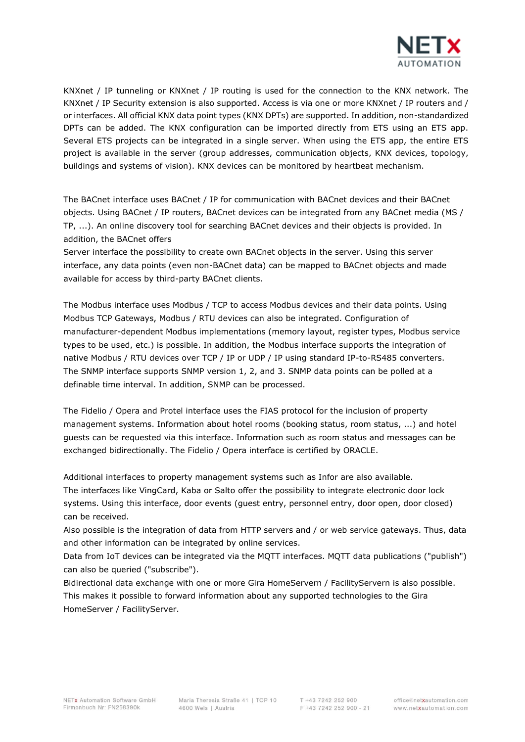

KNXnet / IP tunneling or KNXnet / IP routing is used for the connection to the KNX network. The KNXnet / IP Security extension is also supported. Access is via one or more KNXnet / IP routers and / or interfaces. All official KNX data point types (KNX DPTs) are supported. In addition, non-standardized DPTs can be added. The KNX configuration can be imported directly from ETS using an ETS app. Several ETS projects can be integrated in a single server. When using the ETS app, the entire ETS project is available in the server (group addresses, communication objects, KNX devices, topology, buildings and systems of vision). KNX devices can be monitored by heartbeat mechanism.

The BACnet interface uses BACnet / IP for communication with BACnet devices and their BACnet objects. Using BACnet / IP routers, BACnet devices can be integrated from any BACnet media (MS / TP, ...). An online discovery tool for searching BACnet devices and their objects is provided. In addition, the BACnet offers

Server interface the possibility to create own BACnet objects in the server. Using this server interface, any data points (even non-BACnet data) can be mapped to BACnet objects and made available for access by third-party BACnet clients.

The Modbus interface uses Modbus / TCP to access Modbus devices and their data points. Using Modbus TCP Gateways, Modbus / RTU devices can also be integrated. Configuration of manufacturer-dependent Modbus implementations (memory layout, register types, Modbus service types to be used, etc.) is possible. In addition, the Modbus interface supports the integration of native Modbus / RTU devices over TCP / IP or UDP / IP using standard IP-to-RS485 converters. The SNMP interface supports SNMP version 1, 2, and 3. SNMP data points can be polled at a definable time interval. In addition, SNMP can be processed.

The Fidelio / Opera and Protel interface uses the FIAS protocol for the inclusion of property management systems. Information about hotel rooms (booking status, room status, ...) and hotel guests can be requested via this interface. Information such as room status and messages can be exchanged bidirectionally. The Fidelio / Opera interface is certified by ORACLE.

Additional interfaces to property management systems such as Infor are also available. The interfaces like VingCard, Kaba or Salto offer the possibility to integrate electronic door lock systems. Using this interface, door events (guest entry, personnel entry, door open, door closed) can be received.

Also possible is the integration of data from HTTP servers and / or web service gateways. Thus, data and other information can be integrated by online services.

Data from IoT devices can be integrated via the MQTT interfaces. MQTT data publications ("publish") can also be queried ("subscribe").

Bidirectional data exchange with one or more Gira HomeServern / FacilityServern is also possible. This makes it possible to forward information about any supported technologies to the Gira HomeServer / FacilityServer.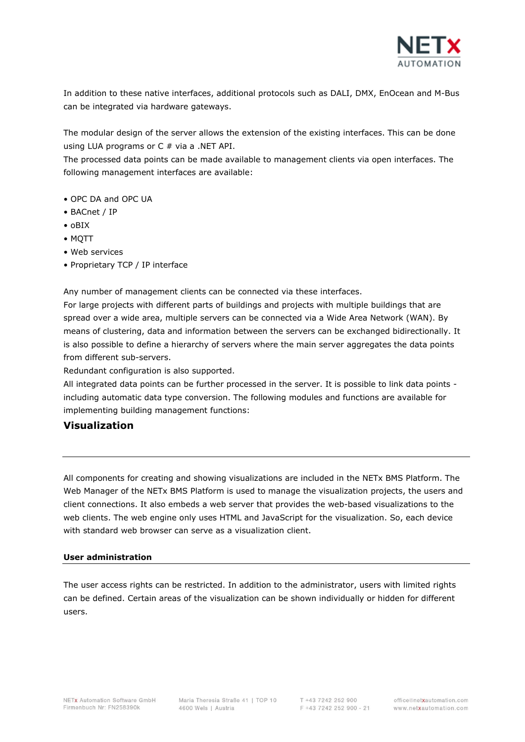

In addition to these native interfaces, additional protocols such as DALI, DMX, EnOcean and M-Bus can be integrated via hardware gateways.

The modular design of the server allows the extension of the existing interfaces. This can be done using LUA programs or  $C \#$  via a .NET API.

The processed data points can be made available to management clients via open interfaces. The following management interfaces are available:

- OPC DA and OPC UA
- BACnet / IP
- oBIX
- MQTT
- Web services
- Proprietary TCP / IP interface

Any number of management clients can be connected via these interfaces.

For large projects with different parts of buildings and projects with multiple buildings that are spread over a wide area, multiple servers can be connected via a Wide Area Network (WAN). By means of clustering, data and information between the servers can be exchanged bidirectionally. It is also possible to define a hierarchy of servers where the main server aggregates the data points from different sub-servers.

Redundant configuration is also supported.

All integrated data points can be further processed in the server. It is possible to link data points including automatic data type conversion. The following modules and functions are available for implementing building management functions:

# **Visualization**

All components for creating and showing visualizations are included in the NETx BMS Platform. The Web Manager of the NETx BMS Platform is used to manage the visualization projects, the users and client connections. It also embeds a web server that provides the web-based visualizations to the web clients. The web engine only uses HTML and JavaScript for the visualization. So, each device with standard web browser can serve as a visualization client.

#### **User administration**

The user access rights can be restricted. In addition to the administrator, users with limited rights can be defined. Certain areas of the visualization can be shown individually or hidden for different users.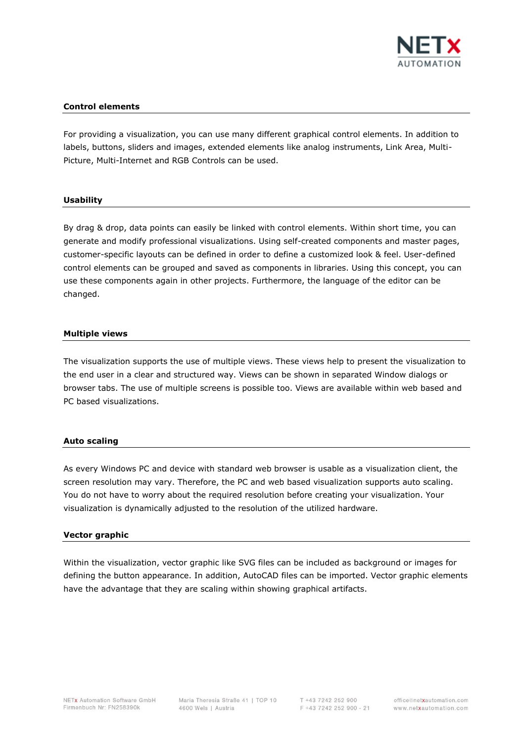

# **Control elements**

For providing a visualization, you can use many different graphical control elements. In addition to labels, buttons, sliders and images, extended elements like analog instruments, Link Area, Multi-Picture, Multi-Internet and RGB Controls can be used.

#### **Usability**

By drag & drop, data points can easily be linked with control elements. Within short time, you can generate and modify professional visualizations. Using self-created components and master pages, customer-specific layouts can be defined in order to define a customized look & feel. User-defined control elements can be grouped and saved as components in libraries. Using this concept, you can use these components again in other projects. Furthermore, the language of the editor can be changed.

#### **Multiple views**

The visualization supports the use of multiple views. These views help to present the visualization to the end user in a clear and structured way. Views can be shown in separated Window dialogs or browser tabs. The use of multiple screens is possible too. Views are available within web based and PC based visualizations.

#### **Auto scaling**

As every Windows PC and device with standard web browser is usable as a visualization client, the screen resolution may vary. Therefore, the PC and web based visualization supports auto scaling. You do not have to worry about the required resolution before creating your visualization. Your visualization is dynamically adjusted to the resolution of the utilized hardware.

#### **Vector graphic**

Within the visualization, vector graphic like SVG files can be included as background or images for defining the button appearance. In addition, AutoCAD files can be imported. Vector graphic elements have the advantage that they are scaling within showing graphical artifacts.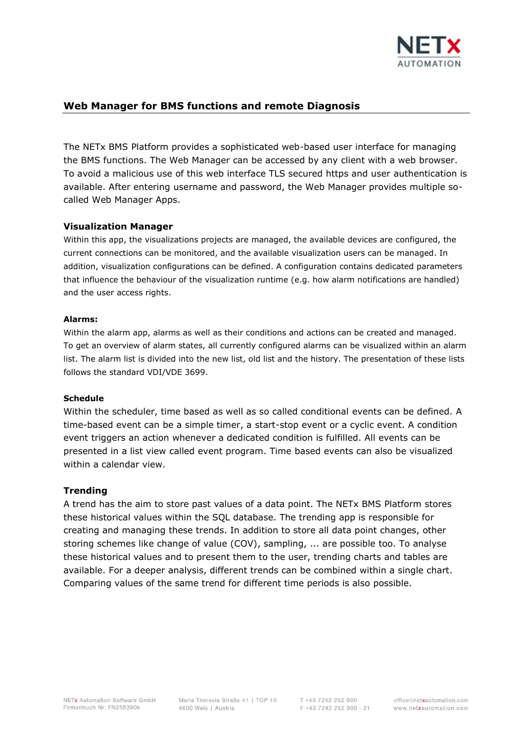

# **Web Manager for BMS functions and remote Diagnosis**

The NETx BMS Platform provides a sophisticated web-based user interface for managing the BMS functions. The Web Manager can be accessed by any client with a web browser. To avoid a malicious use of this web interface TLS secured https and user authentication is available. After entering username and password, the Web Manager provides multiple socalled Web Manager Apps.

# **Visualization Manager**

Within this app, the visualizations projects are managed, the available devices are configured, the current connections can be monitored, and the available visualization users can be managed. In addition, visualization configurations can be defined. A configuration contains dedicated parameters that influence the behaviour of the visualization runtime (e.g. how alarm notifications are handled) and the user access rights.

# **Alarms:**

Within the alarm app, alarms as well as their conditions and actions can be created and managed. To get an overview of alarm states, all currently configured alarms can be visualized within an alarm list. The alarm list is divided into the new list, old list and the history. The presentation of these lists follows the standard VDI/VDE 3699.

# **Schedule**

Within the scheduler, time based as well as so called conditional events can be defined. A time-based event can be a simple timer, a start-stop event or a cyclic event. A condition event triggers an action whenever a dedicated condition is fulfilled. All events can be presented in a list view called event program. Time based events can also be visualized within a calendar view.

# **Trending**

A trend has the aim to store past values of a data point. The NETx BMS Platform stores these historical values within the SQL database. The trending app is responsible for creating and managing these trends. In addition to store all data point changes, other storing schemes like change of value (COV), sampling, ... are possible too. To analyse these historical values and to present them to the user, trending charts and tables are available. For a deeper analysis, different trends can be combined within a single chart. Comparing values of the same trend for different time periods is also possible.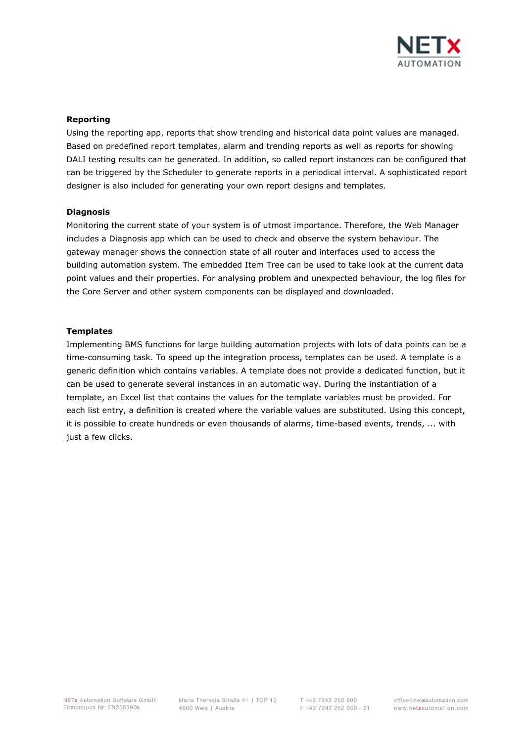

#### **Reporting**

Using the reporting app, reports that show trending and historical data point values are managed. Based on predefined report templates, alarm and trending reports as well as reports for showing DALI testing results can be generated. In addition, so called report instances can be configured that can be triggered by the Scheduler to generate reports in a periodical interval. A sophisticated report designer is also included for generating your own report designs and templates.

#### **Diagnosis**

Monitoring the current state of your system is of utmost importance. Therefore, the Web Manager includes a Diagnosis app which can be used to check and observe the system behaviour. The gateway manager shows the connection state of all router and interfaces used to access the building automation system. The embedded Item Tree can be used to take look at the current data point values and their properties. For analysing problem and unexpected behaviour, the log files for the Core Server and other system components can be displayed and downloaded.

#### **Templates**

Implementing BMS functions for large building automation projects with lots of data points can be a time-consuming task. To speed up the integration process, templates can be used. A template is a generic definition which contains variables. A template does not provide a dedicated function, but it can be used to generate several instances in an automatic way. During the instantiation of a template, an Excel list that contains the values for the template variables must be provided. For each list entry, a definition is created where the variable values are substituted. Using this concept, it is possible to create hundreds or even thousands of alarms, time-based events, trends, ... with just a few clicks.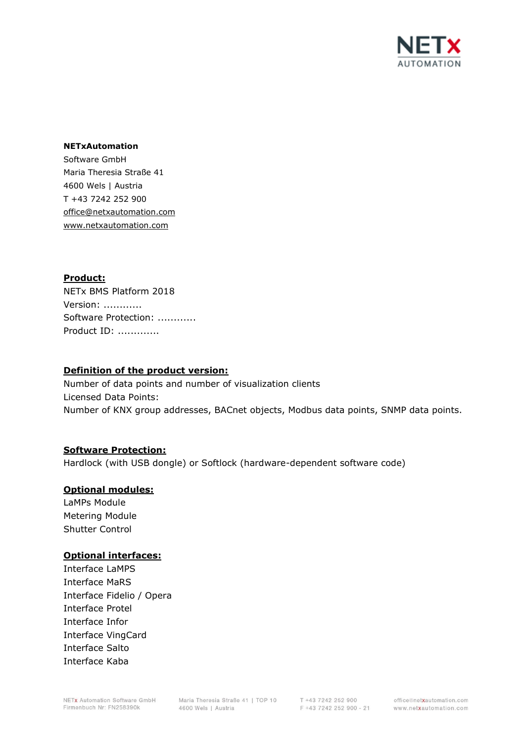

#### **NETxAutomation**

Software GmbH Maria Theresia Straße 41 4600 Wels | Austria T +43 7242 252 900 office@netxautomation.com www.netxautomation.com

# **Product:**

NETx BMS Platform 2018 Version: ............ Software Protection: ............ Product ID: .............

#### **Definition of the product version:**

Number of data points and number of visualization clients Licensed Data Points: Number of KNX group addresses, BACnet objects, Modbus data points, SNMP data points.

# **Software Protection:**

Hardlock (with USB dongle) or Softlock (hardware-dependent software code)

# **Optional modules:**

LaMPs Module Metering Module Shutter Control

# **Optional interfaces:**

Interface LaMPS Interface MaRS Interface Fidelio / Opera Interface Protel Interface Infor Interface VingCard Interface Salto Interface Kaba